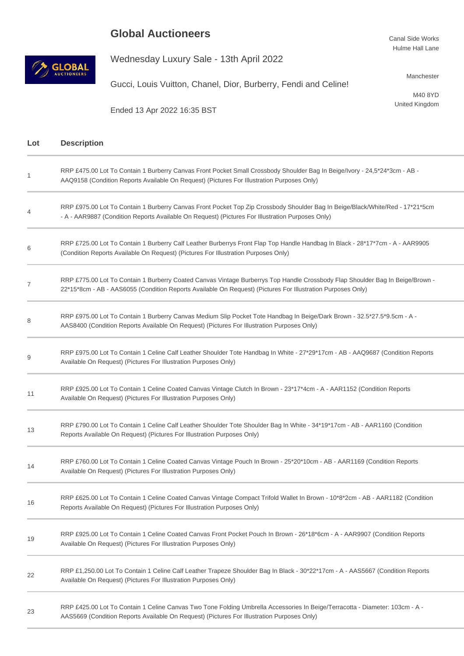## **Global Auctioneers**

Ended 13 Apr 2022 16:35 BST





Lot

1

4

6

7

8

9

11

13

14

16

19

22

23

Wednesday Luxury Sale - 13th April 2022

Gucci, Louis Vuitton, Chanel, Dior, Burberry, Fendi and Celine!

Manchester

M40 8YD United Kingdom

| <b>Description</b>                                                                                                                                                                                                                           |
|----------------------------------------------------------------------------------------------------------------------------------------------------------------------------------------------------------------------------------------------|
| RRP £475.00 Lot To Contain 1 Burberry Canvas Front Pocket Small Crossbody Shoulder Bag In Beige/Ivory - 24,5*24*3cm - AB -<br>AAQ9158 (Condition Reports Available On Request) (Pictures For Illustration Purposes Only)                     |
| RRP £975.00 Lot To Contain 1 Burberry Canvas Front Pocket Top Zip Crossbody Shoulder Bag In Beige/Black/White/Red - 17*21*5cm<br>- A - AAR9887 (Condition Reports Available On Request) (Pictures For Illustration Purposes Only)            |
| RRP £725.00 Lot To Contain 1 Burberry Calf Leather Burberrys Front Flap Top Handle Handbag In Black - 28*17*7cm - A - AAR9905<br>(Condition Reports Available On Request) (Pictures For Illustration Purposes Only)                          |
| RRP £775.00 Lot To Contain 1 Burberry Coated Canvas Vintage Burberrys Top Handle Crossbody Flap Shoulder Bag In Beige/Brown -<br>22*15*8cm - AB - AAS6055 (Condition Reports Available On Request) (Pictures For Illustration Purposes Only) |
| RRP £975.00 Lot To Contain 1 Burberry Canvas Medium Slip Pocket Tote Handbag In Beige/Dark Brown - 32.5*27.5*9.5cm - A -<br>AAS8400 (Condition Reports Available On Request) (Pictures For Illustration Purposes Only)                       |
| RRP £975.00 Lot To Contain 1 Celine Calf Leather Shoulder Tote Handbag In White - 27*29*17cm - AB - AAQ9687 (Condition Reports<br>Available On Request) (Pictures For Illustration Purposes Only)                                            |
| RRP £925.00 Lot To Contain 1 Celine Coated Canvas Vintage Clutch In Brown - 23*17*4cm - A - AAR1152 (Condition Reports<br>Available On Request) (Pictures For Illustration Purposes Only)                                                    |
| RRP £790.00 Lot To Contain 1 Celine Calf Leather Shoulder Tote Shoulder Bag In White - 34*19*17cm - AB - AAR1160 (Condition<br>Reports Available On Request) (Pictures For Illustration Purposes Only)                                       |
| RRP £760.00 Lot To Contain 1 Celine Coated Canvas Vintage Pouch In Brown - 25*20*10cm - AB - AAR1169 (Condition Reports<br>Available On Request) (Pictures For Illustration Purposes Only)                                                   |
| RRP £625.00 Lot To Contain 1 Celine Coated Canvas Vintage Compact Trifold Wallet In Brown - 10*8*2cm - AB - AAR1182 (Condition<br>Reports Available On Request) (Pictures For Illustration Purposes Only)                                    |
| RRP £925.00 Lot To Contain 1 Celine Coated Canvas Front Pocket Pouch In Brown - 26*18*6cm - A - AAR9907 (Condition Reports<br>Available On Request) (Pictures For Illustration Purposes Only)                                                |
| RRP £1,250.00 Lot To Contain 1 Celine Calf Leather Trapeze Shoulder Bag In Black - 30*22*17cm - A - AAS5667 (Condition Reports<br>Available On Request) (Pictures For Illustration Purposes Only)                                            |
| RRP £425.00 Lot To Contain 1 Celine Canvas Two Tone Folding Umbrella Accessories In Beige/Terracotta - Diameter: 103cm - A -                                                                                                                 |

AAS5669 (Condition Reports Available On Request) (Pictures For Illustration Purposes Only)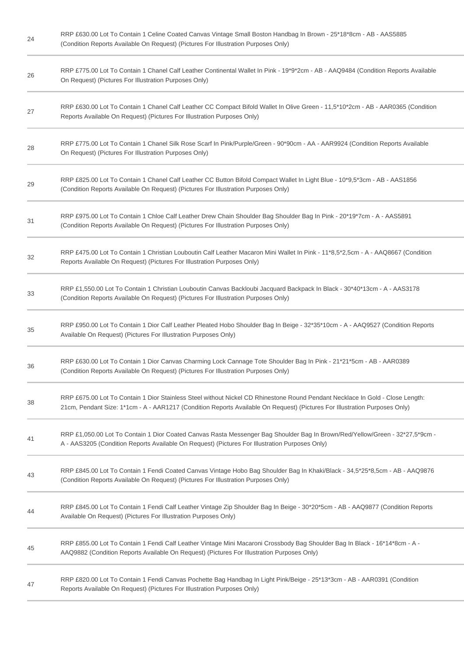| 24 | RRP £630.00 Lot To Contain 1 Celine Coated Canvas Vintage Small Boston Handbag In Brown - 25*18*8cm - AB - AAS5885<br>(Condition Reports Available On Request) (Pictures For Illustration Purposes Only)                                                    |
|----|-------------------------------------------------------------------------------------------------------------------------------------------------------------------------------------------------------------------------------------------------------------|
| 26 | RRP £775.00 Lot To Contain 1 Chanel Calf Leather Continental Wallet In Pink - 19*9*2cm - AB - AAQ9484 (Condition Reports Available<br>On Request) (Pictures For Illustration Purposes Only)                                                                 |
| 27 | RRP £630.00 Lot To Contain 1 Chanel Calf Leather CC Compact Bifold Wallet In Olive Green - 11,5*10*2cm - AB - AAR0365 (Condition<br>Reports Available On Request) (Pictures For Illustration Purposes Only)                                                 |
| 28 | RRP £775.00 Lot To Contain 1 Chanel Silk Rose Scarf In Pink/Purple/Green - 90*90cm - AA - AAR9924 (Condition Reports Available<br>On Request) (Pictures For Illustration Purposes Only)                                                                     |
| 29 | RRP £825.00 Lot To Contain 1 Chanel Calf Leather CC Button Bifold Compact Wallet In Light Blue - 10*9,5*3cm - AB - AAS1856<br>(Condition Reports Available On Request) (Pictures For Illustration Purposes Only)                                            |
| 31 | RRP £975.00 Lot To Contain 1 Chloe Calf Leather Drew Chain Shoulder Bag Shoulder Bag In Pink - 20*19*7cm - A - AAS5891<br>(Condition Reports Available On Request) (Pictures For Illustration Purposes Only)                                                |
| 32 | RRP £475.00 Lot To Contain 1 Christian Louboutin Calf Leather Macaron Mini Wallet In Pink - 11*8,5*2,5cm - A - AAQ8667 (Condition<br>Reports Available On Request) (Pictures For Illustration Purposes Only)                                                |
| 33 | RRP £1,550.00 Lot To Contain 1 Christian Louboutin Canvas Backloubi Jacquard Backpack In Black - 30*40*13cm - A - AAS3178<br>(Condition Reports Available On Request) (Pictures For Illustration Purposes Only)                                             |
| 35 | RRP £950.00 Lot To Contain 1 Dior Calf Leather Pleated Hobo Shoulder Bag In Beige - 32*35*10cm - A - AAQ9527 (Condition Reports<br>Available On Request) (Pictures For Illustration Purposes Only)                                                          |
| 36 | RRP £630.00 Lot To Contain 1 Dior Canvas Charming Lock Cannage Tote Shoulder Bag In Pink - 21*21*5cm - AB - AAR0389<br>(Condition Reports Available On Request) (Pictures For Illustration Purposes Only)                                                   |
| 38 | RRP £675.00 Lot To Contain 1 Dior Stainless Steel without Nickel CD Rhinestone Round Pendant Necklace In Gold - Close Length:<br>21cm, Pendant Size: 1*1cm - A - AAR1217 (Condition Reports Available On Request) (Pictures For Illustration Purposes Only) |
| 41 | RRP £1,050.00 Lot To Contain 1 Dior Coated Canvas Rasta Messenger Bag Shoulder Bag In Brown/Red/Yellow/Green - 32*27,5*9cm -<br>A - AAS3205 (Condition Reports Available On Request) (Pictures For Illustration Purposes Only)                              |
| 43 | RRP £845.00 Lot To Contain 1 Fendi Coated Canvas Vintage Hobo Bag Shoulder Bag In Khaki/Black - 34,5*25*8,5cm - AB - AAQ9876<br>(Condition Reports Available On Request) (Pictures For Illustration Purposes Only)                                          |
| 44 | RRP £845.00 Lot To Contain 1 Fendi Calf Leather Vintage Zip Shoulder Bag In Beige - 30*20*5cm - AB - AAQ9877 (Condition Reports<br>Available On Request) (Pictures For Illustration Purposes Only)                                                          |
| 45 | RRP £855.00 Lot To Contain 1 Fendi Calf Leather Vintage Mini Macaroni Crossbody Bag Shoulder Bag In Black - 16*14*8cm - A -<br>AAQ9882 (Condition Reports Available On Request) (Pictures For Illustration Purposes Only)                                   |
| 47 | RRP £820.00 Lot To Contain 1 Fendi Canvas Pochette Bag Handbag In Light Pink/Beige - 25*13*3cm - AB - AAR0391 (Condition<br>Reports Available On Request) (Pictures For Illustration Purposes Only)                                                         |
|    |                                                                                                                                                                                                                                                             |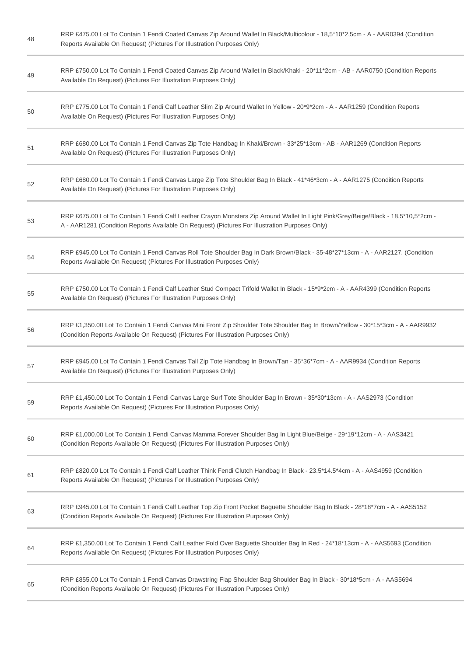| 48 | RRP £475.00 Lot To Contain 1 Fendi Coated Canvas Zip Around Wallet In Black/Multicolour - 18,5*10*2,5cm - A - AAR0394 (Condition<br>Reports Available On Request) (Pictures For Illustration Purposes Only)                          |
|----|--------------------------------------------------------------------------------------------------------------------------------------------------------------------------------------------------------------------------------------|
| 49 | RRP £750.00 Lot To Contain 1 Fendi Coated Canvas Zip Around Wallet In Black/Khaki - 20*11*2cm - AB - AAR0750 (Condition Reports<br>Available On Request) (Pictures For Illustration Purposes Only)                                   |
| 50 | RRP £775.00 Lot To Contain 1 Fendi Calf Leather Slim Zip Around Wallet In Yellow - 20*9*2cm - A - AAR1259 (Condition Reports<br>Available On Request) (Pictures For Illustration Purposes Only)                                      |
| 51 | RRP £680.00 Lot To Contain 1 Fendi Canvas Zip Tote Handbag In Khaki/Brown - 33*25*13cm - AB - AAR1269 (Condition Reports<br>Available On Request) (Pictures For Illustration Purposes Only)                                          |
| 52 | RRP £680.00 Lot To Contain 1 Fendi Canvas Large Zip Tote Shoulder Bag In Black - 41*46*3cm - A - AAR1275 (Condition Reports<br>Available On Request) (Pictures For Illustration Purposes Only)                                       |
| 53 | RRP £675.00 Lot To Contain 1 Fendi Calf Leather Crayon Monsters Zip Around Wallet In Light Pink/Grey/Beige/Black - 18,5*10,5*2cm -<br>A - AAR1281 (Condition Reports Available On Request) (Pictures For Illustration Purposes Only) |
| 54 | RRP £945.00 Lot To Contain 1 Fendi Canvas Roll Tote Shoulder Bag In Dark Brown/Black - 35-48*27*13cm - A - AAR2127. (Condition<br>Reports Available On Request) (Pictures For Illustration Purposes Only)                            |
| 55 | RRP £750.00 Lot To Contain 1 Fendi Calf Leather Stud Compact Trifold Wallet In Black - 15*9*2cm - A - AAR4399 (Condition Reports<br>Available On Request) (Pictures For Illustration Purposes Only)                                  |
| 56 | RRP £1,350.00 Lot To Contain 1 Fendi Canvas Mini Front Zip Shoulder Tote Shoulder Bag In Brown/Yellow - 30*15*3cm - A - AAR9932<br>(Condition Reports Available On Request) (Pictures For Illustration Purposes Only)                |
| 57 | RRP £945.00 Lot To Contain 1 Fendi Canvas Tall Zip Tote Handbag In Brown/Tan - 35*36*7cm - A - AAR9934 (Condition Reports<br>Available On Request) (Pictures For Illustration Purposes Only)                                         |
| 59 | RRP £1,450.00 Lot To Contain 1 Fendi Canvas Large Surf Tote Shoulder Bag In Brown - 35*30*13cm - A - AAS2973 (Condition<br>Reports Available On Request) (Pictures For Illustration Purposes Only)                                   |
| 60 | RRP £1,000.00 Lot To Contain 1 Fendi Canvas Mamma Forever Shoulder Bag In Light Blue/Beige - 29*19*12cm - A - AAS3421<br>(Condition Reports Available On Request) (Pictures For Illustration Purposes Only)                          |
| 61 | RRP £820.00 Lot To Contain 1 Fendi Calf Leather Think Fendi Clutch Handbag In Black - 23.5*14.5*4cm - A - AAS4959 (Condition<br>Reports Available On Request) (Pictures For Illustration Purposes Only)                              |
| 63 | RRP £945.00 Lot To Contain 1 Fendi Calf Leather Top Zip Front Pocket Baguette Shoulder Bag In Black - 28*18*7cm - A - AAS5152<br>(Condition Reports Available On Request) (Pictures For Illustration Purposes Only)                  |
| 64 | RRP £1,350.00 Lot To Contain 1 Fendi Calf Leather Fold Over Baguette Shoulder Bag In Red - 24*18*13cm - A - AAS5693 (Condition<br>Reports Available On Request) (Pictures For Illustration Purposes Only)                            |
| 65 | RRP £855.00 Lot To Contain 1 Fendi Canvas Drawstring Flap Shoulder Bag Shoulder Bag In Black - 30*18*5cm - A - AAS5694<br>(Condition Reports Available On Request) (Pictures For Illustration Purposes Only)                         |
|    |                                                                                                                                                                                                                                      |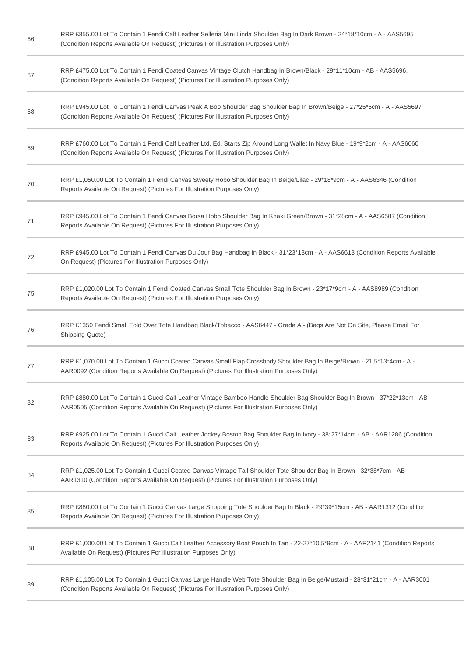| 66 | RRP £855.00 Lot To Contain 1 Fendi Calf Leather Selleria Mini Linda Shoulder Bag In Dark Brown - 24*18*10cm - A - AAS5695<br>(Condition Reports Available On Request) (Pictures For Illustration Purposes Only)            |
|----|----------------------------------------------------------------------------------------------------------------------------------------------------------------------------------------------------------------------------|
| 67 | RRP £475.00 Lot To Contain 1 Fendi Coated Canvas Vintage Clutch Handbag In Brown/Black - 29*11*10cm - AB - AAS5696.<br>(Condition Reports Available On Request) (Pictures For Illustration Purposes Only)                  |
| 68 | RRP £945.00 Lot To Contain 1 Fendi Canvas Peak A Boo Shoulder Bag Shoulder Bag In Brown/Beige - 27*25*5cm - A - AAS5697<br>(Condition Reports Available On Request) (Pictures For Illustration Purposes Only)              |
| 69 | RRP £760.00 Lot To Contain 1 Fendi Calf Leather Ltd. Ed. Starts Zip Around Long Wallet In Navy Blue - 19*9*2cm - A - AAS6060<br>(Condition Reports Available On Request) (Pictures For Illustration Purposes Only)         |
| 70 | RRP £1,050.00 Lot To Contain 1 Fendi Canvas Sweety Hobo Shoulder Bag In Beige/Lilac - 29*18*9cm - A - AAS6346 (Condition<br>Reports Available On Request) (Pictures For Illustration Purposes Only)                        |
| 71 | RRP £945.00 Lot To Contain 1 Fendi Canvas Borsa Hobo Shoulder Bag In Khaki Green/Brown - 31*28cm - A - AAS6587 (Condition<br>Reports Available On Request) (Pictures For Illustration Purposes Only)                       |
| 72 | RRP £945.00 Lot To Contain 1 Fendi Canvas Du Jour Bag Handbag In Black - 31*23*13cm - A - AAS6613 (Condition Reports Available<br>On Request) (Pictures For Illustration Purposes Only)                                    |
| 75 | RRP £1,020.00 Lot To Contain 1 Fendi Coated Canvas Small Tote Shoulder Bag In Brown - 23*17*9cm - A - AAS8989 (Condition<br>Reports Available On Request) (Pictures For Illustration Purposes Only)                        |
| 76 | RRP £1350 Fendi Small Fold Over Tote Handbag Black/Tobacco - AAS6447 - Grade A - (Bags Are Not On Site, Please Email For<br>Shipping Quote)                                                                                |
| 77 | RRP £1,070.00 Lot To Contain 1 Gucci Coated Canvas Small Flap Crossbody Shoulder Bag In Beige/Brown - 21,5*13*4cm - A -<br>AAR0092 (Condition Reports Available On Request) (Pictures For Illustration Purposes Only)      |
| 82 | RRP £880.00 Lot To Contain 1 Gucci Calf Leather Vintage Bamboo Handle Shoulder Bag Shoulder Bag In Brown - 37*22*13cm - AB -<br>AAR0505 (Condition Reports Available On Request) (Pictures For Illustration Purposes Only) |
| 83 | RRP £925.00 Lot To Contain 1 Gucci Calf Leather Jockey Boston Bag Shoulder Bag In Ivory - 38*27*14cm - AB - AAR1286 (Condition<br>Reports Available On Request) (Pictures For Illustration Purposes Only)                  |
| 84 | RRP £1,025.00 Lot To Contain 1 Gucci Coated Canvas Vintage Tall Shoulder Tote Shoulder Bag In Brown - 32*38*7cm - AB -<br>AAR1310 (Condition Reports Available On Request) (Pictures For Illustration Purposes Only)       |
| 85 | RRP £880.00 Lot To Contain 1 Gucci Canvas Large Shopping Tote Shoulder Bag In Black - 29*39*15cm - AB - AAR1312 (Condition<br>Reports Available On Request) (Pictures For Illustration Purposes Only)                      |
| 88 | RRP £1,000.00 Lot To Contain 1 Gucci Calf Leather Accessory Boat Pouch In Tan - 22-27*10,5*9cm - A - AAR2141 (Condition Reports<br>Available On Request) (Pictures For Illustration Purposes Only)                         |
| 89 | RRP £1,105.00 Lot To Contain 1 Gucci Canvas Large Handle Web Tote Shoulder Bag In Beige/Mustard - 28*31*21cm - A - AAR3001<br>(Condition Reports Available On Request) (Pictures For Illustration Purposes Only)           |
|    |                                                                                                                                                                                                                            |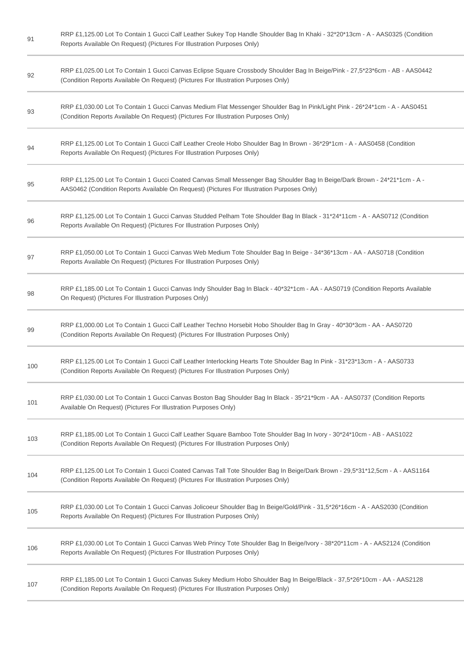| 91  | RRP £1,125.00 Lot To Contain 1 Gucci Calf Leather Sukey Top Handle Shoulder Bag In Khaki - 32*20*13cm - A - AAS0325 (Condition<br>Reports Available On Request) (Pictures For Illustration Purposes Only)               |
|-----|-------------------------------------------------------------------------------------------------------------------------------------------------------------------------------------------------------------------------|
| 92  | RRP £1,025.00 Lot To Contain 1 Gucci Canvas Eclipse Square Crossbody Shoulder Bag In Beige/Pink - 27,5*23*6cm - AB - AAS0442<br>(Condition Reports Available On Request) (Pictures For Illustration Purposes Only)      |
| 93  | RRP £1,030.00 Lot To Contain 1 Gucci Canvas Medium Flat Messenger Shoulder Bag In Pink/Light Pink - 26*24*1cm - A - AAS0451<br>(Condition Reports Available On Request) (Pictures For Illustration Purposes Only)       |
| 94  | RRP £1,125.00 Lot To Contain 1 Gucci Calf Leather Creole Hobo Shoulder Bag In Brown - 36*29*1cm - A - AAS0458 (Condition<br>Reports Available On Request) (Pictures For Illustration Purposes Only)                     |
| 95  | RRP £1,125.00 Lot To Contain 1 Gucci Coated Canvas Small Messenger Bag Shoulder Bag In Beige/Dark Brown - 24*21*1cm - A -<br>AAS0462 (Condition Reports Available On Request) (Pictures For Illustration Purposes Only) |
| 96  | RRP £1,125.00 Lot To Contain 1 Gucci Canvas Studded Pelham Tote Shoulder Bag In Black - 31*24*11cm - A - AAS0712 (Condition<br>Reports Available On Request) (Pictures For Illustration Purposes Only)                  |
| 97  | RRP £1,050.00 Lot To Contain 1 Gucci Canvas Web Medium Tote Shoulder Bag In Beige - 34*36*13cm - AA - AAS0718 (Condition<br>Reports Available On Request) (Pictures For Illustration Purposes Only)                     |
| 98  | RRP £1,185.00 Lot To Contain 1 Gucci Canvas Indy Shoulder Bag In Black - 40*32*1cm - AA - AAS0719 (Condition Reports Available<br>On Request) (Pictures For Illustration Purposes Only)                                 |
| 99  | RRP £1,000.00 Lot To Contain 1 Gucci Calf Leather Techno Horsebit Hobo Shoulder Bag In Gray - 40*30*3cm - AA - AAS0720<br>(Condition Reports Available On Request) (Pictures For Illustration Purposes Only)            |
| 100 | RRP £1,125.00 Lot To Contain 1 Gucci Calf Leather Interlocking Hearts Tote Shoulder Bag In Pink - 31*23*13cm - A - AAS0733<br>(Condition Reports Available On Request) (Pictures For Illustration Purposes Only)        |
| 101 | RRP £1,030.00 Lot To Contain 1 Gucci Canvas Boston Bag Shoulder Bag In Black - 35*21*9cm - AA - AAS0737 (Condition Reports<br>Available On Request) (Pictures For Illustration Purposes Only)                           |
| 103 | RRP £1,185.00 Lot To Contain 1 Gucci Calf Leather Square Bamboo Tote Shoulder Bag In Ivory - 30*24*10cm - AB - AAS1022<br>(Condition Reports Available On Request) (Pictures For Illustration Purposes Only)            |
| 104 | RRP £1,125.00 Lot To Contain 1 Gucci Coated Canvas Tall Tote Shoulder Bag In Beige/Dark Brown - 29,5*31*12,5cm - A - AAS1164<br>(Condition Reports Available On Request) (Pictures For Illustration Purposes Only)      |
| 105 | RRP £1,030.00 Lot To Contain 1 Gucci Canvas Jolicoeur Shoulder Bag In Beige/Gold/Pink - 31,5*26*16cm - A - AAS2030 (Condition<br>Reports Available On Request) (Pictures For Illustration Purposes Only)                |
| 106 | RRP £1,030.00 Lot To Contain 1 Gucci Canvas Web Princy Tote Shoulder Bag In Beige/Ivory - 38*20*11cm - A - AAS2124 (Condition<br>Reports Available On Request) (Pictures For Illustration Purposes Only)                |
| 107 | RRP £1,185.00 Lot To Contain 1 Gucci Canvas Sukey Medium Hobo Shoulder Bag In Beige/Black - 37,5*26*10cm - AA - AAS2128<br>(Condition Reports Available On Request) (Pictures For Illustration Purposes Only)           |
|     |                                                                                                                                                                                                                         |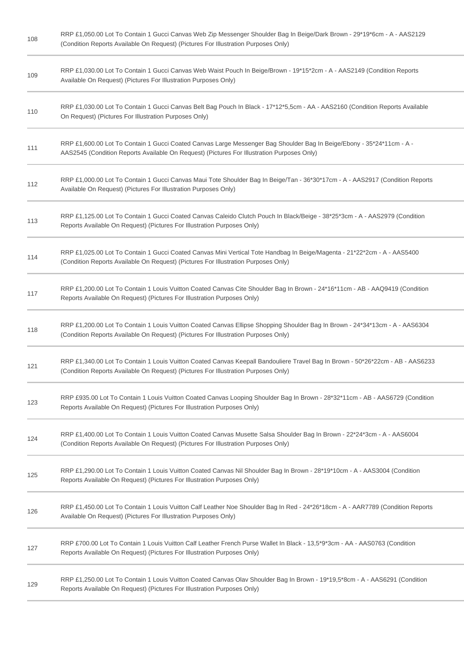| 108 | RRP £1,050.00 Lot To Contain 1 Gucci Canvas Web Zip Messenger Shoulder Bag In Beige/Dark Brown - 29*19*6cm - A - AAS2129<br>(Condition Reports Available On Request) (Pictures For Illustration Purposes Only)       |
|-----|----------------------------------------------------------------------------------------------------------------------------------------------------------------------------------------------------------------------|
| 109 | RRP £1,030.00 Lot To Contain 1 Gucci Canvas Web Waist Pouch In Beige/Brown - 19*15*2cm - A - AAS2149 (Condition Reports<br>Available On Request) (Pictures For Illustration Purposes Only)                           |
| 110 | RRP £1,030.00 Lot To Contain 1 Gucci Canvas Belt Bag Pouch In Black - 17*12*5,5cm - AA - AAS2160 (Condition Reports Available<br>On Request) (Pictures For Illustration Purposes Only)                               |
| 111 | RRP £1,600.00 Lot To Contain 1 Gucci Coated Canvas Large Messenger Bag Shoulder Bag In Beige/Ebony - 35*24*11cm - A -<br>AAS2545 (Condition Reports Available On Request) (Pictures For Illustration Purposes Only)  |
| 112 | RRP £1,000.00 Lot To Contain 1 Gucci Canvas Maui Tote Shoulder Bag In Beige/Tan - 36*30*17cm - A - AAS2917 (Condition Reports<br>Available On Request) (Pictures For Illustration Purposes Only)                     |
| 113 | RRP £1,125.00 Lot To Contain 1 Gucci Coated Canvas Caleido Clutch Pouch In Black/Beige - 38*25*3cm - A - AAS2979 (Condition<br>Reports Available On Request) (Pictures For Illustration Purposes Only)               |
| 114 | RRP £1,025.00 Lot To Contain 1 Gucci Coated Canvas Mini Vertical Tote Handbag In Beige/Magenta - 21*22*2cm - A - AAS5400<br>(Condition Reports Available On Request) (Pictures For Illustration Purposes Only)       |
| 117 | RRP £1,200.00 Lot To Contain 1 Louis Vuitton Coated Canvas Cite Shoulder Bag In Brown - 24*16*11cm - AB - AAQ9419 (Condition<br>Reports Available On Request) (Pictures For Illustration Purposes Only)              |
| 118 | RRP £1,200.00 Lot To Contain 1 Louis Vuitton Coated Canvas Ellipse Shopping Shoulder Bag In Brown - 24*34*13cm - A - AAS6304<br>(Condition Reports Available On Request) (Pictures For Illustration Purposes Only)   |
| 121 | RRP £1,340.00 Lot To Contain 1 Louis Vuitton Coated Canvas Keepall Bandouliere Travel Bag In Brown - 50*26*22cm - AB - AAS6233<br>(Condition Reports Available On Request) (Pictures For Illustration Purposes Only) |
| 123 | RRP £935.00 Lot To Contain 1 Louis Vuitton Coated Canvas Looping Shoulder Bag In Brown - 28*32*11cm - AB - AAS6729 (Condition<br>Reports Available On Request) (Pictures For Illustration Purposes Only)             |
| 124 | RRP £1,400.00 Lot To Contain 1 Louis Vuitton Coated Canvas Musette Salsa Shoulder Bag In Brown - 22*24*3cm - A - AAS6004<br>(Condition Reports Available On Request) (Pictures For Illustration Purposes Only)       |
| 125 | RRP £1,290.00 Lot To Contain 1 Louis Vuitton Coated Canvas Nil Shoulder Bag In Brown - 28*19*10cm - A - AAS3004 (Condition<br>Reports Available On Request) (Pictures For Illustration Purposes Only)                |
| 126 | RRP £1,450.00 Lot To Contain 1 Louis Vuitton Calf Leather Noe Shoulder Bag In Red - 24*26*18cm - A - AAR7789 (Condition Reports<br>Available On Request) (Pictures For Illustration Purposes Only)                   |
| 127 | RRP £700.00 Lot To Contain 1 Louis Vuitton Calf Leather French Purse Wallet In Black - 13,5*9*3cm - AA - AAS0763 (Condition<br>Reports Available On Request) (Pictures For Illustration Purposes Only)               |
| 129 | RRP £1,250.00 Lot To Contain 1 Louis Vuitton Coated Canvas Olav Shoulder Bag In Brown - 19*19,5*8cm - A - AAS6291 (Condition<br>Reports Available On Request) (Pictures For Illustration Purposes Only)              |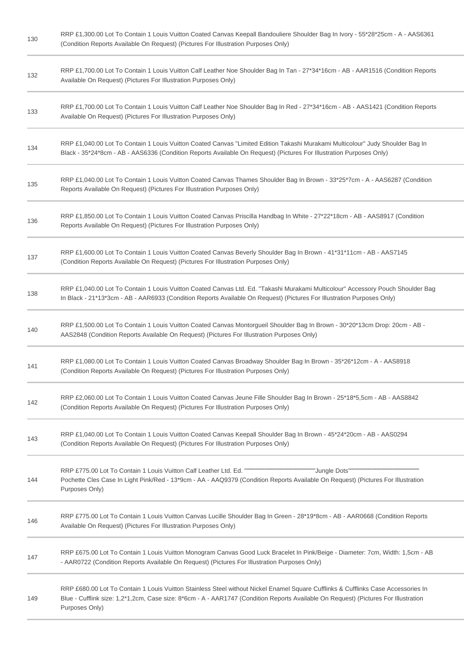| 130 | RRP £1,300.00 Lot To Contain 1 Louis Vuitton Coated Canvas Keepall Bandouliere Shoulder Bag In Ivory - 55*28*25cm - A - AAS6361<br>(Condition Reports Available On Request) (Pictures For Illustration Purposes Only)                                                                      |
|-----|--------------------------------------------------------------------------------------------------------------------------------------------------------------------------------------------------------------------------------------------------------------------------------------------|
| 132 | RRP £1,700.00 Lot To Contain 1 Louis Vuitton Calf Leather Noe Shoulder Bag In Tan - 27*34*16cm - AB - AAR1516 (Condition Reports<br>Available On Request) (Pictures For Illustration Purposes Only)                                                                                        |
| 133 | RRP £1,700.00 Lot To Contain 1 Louis Vuitton Calf Leather Noe Shoulder Bag In Red - 27*34*16cm - AB - AAS1421 (Condition Reports<br>Available On Request) (Pictures For Illustration Purposes Only)                                                                                        |
| 134 | RRP £1,040.00 Lot To Contain 1 Louis Vuitton Coated Canvas "Limited Edition Takashi Murakami Multicolour" Judy Shoulder Bag In<br>Black - 35*24*8cm - AB - AAS6336 (Condition Reports Available On Request) (Pictures For Illustration Purposes Only)                                      |
| 135 | RRP £1,040.00 Lot To Contain 1 Louis Vuitton Coated Canvas Thames Shoulder Bag In Brown - 33*25*7cm - A - AAS6287 (Condition<br>Reports Available On Request) (Pictures For Illustration Purposes Only)                                                                                    |
| 136 | RRP £1,850.00 Lot To Contain 1 Louis Vuitton Coated Canvas Priscilla Handbag In White - 27*22*18cm - AB - AAS8917 (Condition<br>Reports Available On Request) (Pictures For Illustration Purposes Only)                                                                                    |
| 137 | RRP £1,600.00 Lot To Contain 1 Louis Vuitton Coated Canvas Beverly Shoulder Bag In Brown - 41*31*11cm - AB - AAS7145<br>(Condition Reports Available On Request) (Pictures For Illustration Purposes Only)                                                                                 |
| 138 | RRP £1,040.00 Lot To Contain 1 Louis Vuitton Coated Canvas Ltd. Ed. "Takashi Murakami Multicolour" Accessory Pouch Shoulder Bag<br>In Black - 21*13*3cm - AB - AAR6933 (Condition Reports Available On Request) (Pictures For Illustration Purposes Only)                                  |
| 140 | RRP £1,500.00 Lot To Contain 1 Louis Vuitton Coated Canvas Montorgueil Shoulder Bag In Brown - 30*20*13cm Drop: 20cm - AB -<br>AAS2848 (Condition Reports Available On Request) (Pictures For Illustration Purposes Only)                                                                  |
| 141 | RRP £1,080.00 Lot To Contain 1 Louis Vuitton Coated Canvas Broadway Shoulder Bag In Brown - 35*26*12cm - A - AAS8918<br>(Condition Reports Available On Request) (Pictures For Illustration Purposes Only)                                                                                 |
| 142 | RRP £2,060.00 Lot To Contain 1 Louis Vuitton Coated Canvas Jeune Fille Shoulder Bag In Brown - 25*18*5,5cm - AB - AAS8842<br>(Condition Reports Available On Request) (Pictures For Illustration Purposes Only)                                                                            |
| 143 | RRP £1,040.00 Lot To Contain 1 Louis Vuitton Coated Canvas Keepall Shoulder Bag In Brown - 45*24*20cm - AB - AAS0294<br>(Condition Reports Available On Request) (Pictures For Illustration Purposes Only)                                                                                 |
| 144 | Pochette Cles Case In Light Pink/Red - 13*9cm - AA - AAQ9379 (Condition Reports Available On Request) (Pictures For Illustration<br>Purposes Only)                                                                                                                                         |
| 146 | RRP £775.00 Lot To Contain 1 Louis Vuitton Canvas Lucille Shoulder Bag In Green - 28*19*8cm - AB - AAR0668 (Condition Reports<br>Available On Request) (Pictures For Illustration Purposes Only)                                                                                           |
| 147 | RRP £675.00 Lot To Contain 1 Louis Vuitton Monogram Canvas Good Luck Bracelet In Pink/Beige - Diameter: 7cm, Width: 1,5cm - AB<br>- AAR0722 (Condition Reports Available On Request) (Pictures For Illustration Purposes Only)                                                             |
| 149 | RRP £680.00 Lot To Contain 1 Louis Vuitton Stainless Steel without Nickel Enamel Square Cufflinks & Cufflinks Case Accessories In<br>Blue - Cufflink size: 1,2*1,2cm, Case size: 8*6cm - A - AAR1747 (Condition Reports Available On Request) (Pictures For Illustration<br>Purposes Only) |
|     |                                                                                                                                                                                                                                                                                            |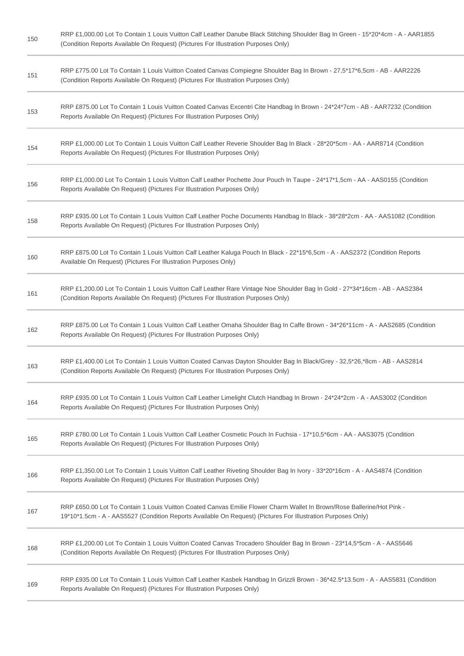| 150 | RRP £1,000.00 Lot To Contain 1 Louis Vuitton Calf Leather Danube Black Stitching Shoulder Bag In Green - 15*20*4cm - A - AAR1855<br>(Condition Reports Available On Request) (Pictures For Illustration Purposes Only)                 |
|-----|----------------------------------------------------------------------------------------------------------------------------------------------------------------------------------------------------------------------------------------|
| 151 | RRP £775.00 Lot To Contain 1 Louis Vuitton Coated Canvas Compiegne Shoulder Bag In Brown - 27,5*17*6,5cm - AB - AAR2226<br>(Condition Reports Available On Request) (Pictures For Illustration Purposes Only)                          |
| 153 | RRP £875.00 Lot To Contain 1 Louis Vuitton Coated Canvas Excentri Cite Handbag In Brown - 24*24*7cm - AB - AAR7232 (Condition<br>Reports Available On Request) (Pictures For Illustration Purposes Only)                               |
| 154 | RRP £1,000.00 Lot To Contain 1 Louis Vuitton Calf Leather Reverie Shoulder Bag In Black - 28*20*5cm - AA - AAR8714 (Condition<br>Reports Available On Request) (Pictures For Illustration Purposes Only)                               |
| 156 | RRP £1,000.00 Lot To Contain 1 Louis Vuitton Calf Leather Pochette Jour Pouch In Taupe - 24*17*1,5cm - AA - AAS0155 (Condition<br>Reports Available On Request) (Pictures For Illustration Purposes Only)                              |
| 158 | RRP £935.00 Lot To Contain 1 Louis Vuitton Calf Leather Poche Documents Handbag In Black - 38*28*2cm - AA - AAS1082 (Condition<br>Reports Available On Request) (Pictures For Illustration Purposes Only)                              |
| 160 | RRP £875.00 Lot To Contain 1 Louis Vuitton Calf Leather Kaluga Pouch In Black - 22*15*6,5cm - A - AAS2372 (Condition Reports<br>Available On Request) (Pictures For Illustration Purposes Only)                                        |
| 161 | RRP £1,200.00 Lot To Contain 1 Louis Vuitton Calf Leather Rare Vintage Noe Shoulder Bag In Gold - 27*34*16cm - AB - AAS2384<br>(Condition Reports Available On Request) (Pictures For Illustration Purposes Only)                      |
| 162 | RRP £875.00 Lot To Contain 1 Louis Vuitton Calf Leather Omaha Shoulder Bag In Caffe Brown - 34*26*11cm - A - AAS2685 (Condition<br>Reports Available On Request) (Pictures For Illustration Purposes Only)                             |
| 163 | RRP £1,400.00 Lot To Contain 1 Louis Vuitton Coated Canvas Dayton Shoulder Bag In Black/Grey - 32,5*26,*8cm - AB - AAS2814<br>(Condition Reports Available On Request) (Pictures For Illustration Purposes Only)                       |
| 164 | RRP £935.00 Lot To Contain 1 Louis Vuitton Calf Leather Limelight Clutch Handbag In Brown - 24*24*2cm - A - AAS3002 (Condition<br>Reports Available On Request) (Pictures For Illustration Purposes Only)                              |
| 165 | RRP £780.00 Lot To Contain 1 Louis Vuitton Calf Leather Cosmetic Pouch In Fuchsia - 17*10,5*6cm - AA - AAS3075 (Condition<br>Reports Available On Request) (Pictures For Illustration Purposes Only)                                   |
| 166 | RRP £1,350.00 Lot To Contain 1 Louis Vuitton Calf Leather Riveting Shoulder Bag In Ivory - 33*20*16cm - A - AAS4874 (Condition<br>Reports Available On Request) (Pictures For Illustration Purposes Only)                              |
| 167 | RRP £650.00 Lot To Contain 1 Louis Vuitton Coated Canvas Emilie Flower Charm Wallet In Brown/Rose Ballerine/Hot Pink -<br>19*10*1.5cm - A - AAS5527 (Condition Reports Available On Request) (Pictures For Illustration Purposes Only) |
| 168 | RRP £1,200.00 Lot To Contain 1 Louis Vuitton Coated Canvas Trocadero Shoulder Bag In Brown - 23*14,5*5cm - A - AAS5646<br>(Condition Reports Available On Request) (Pictures For Illustration Purposes Only)                           |
| 169 | RRP £935.00 Lot To Contain 1 Louis Vuitton Calf Leather Kasbek Handbag In Grizzli Brown - 36*42.5*13.5cm - A - AAS5831 (Condition<br>Reports Available On Request) (Pictures For Illustration Purposes Only)                           |